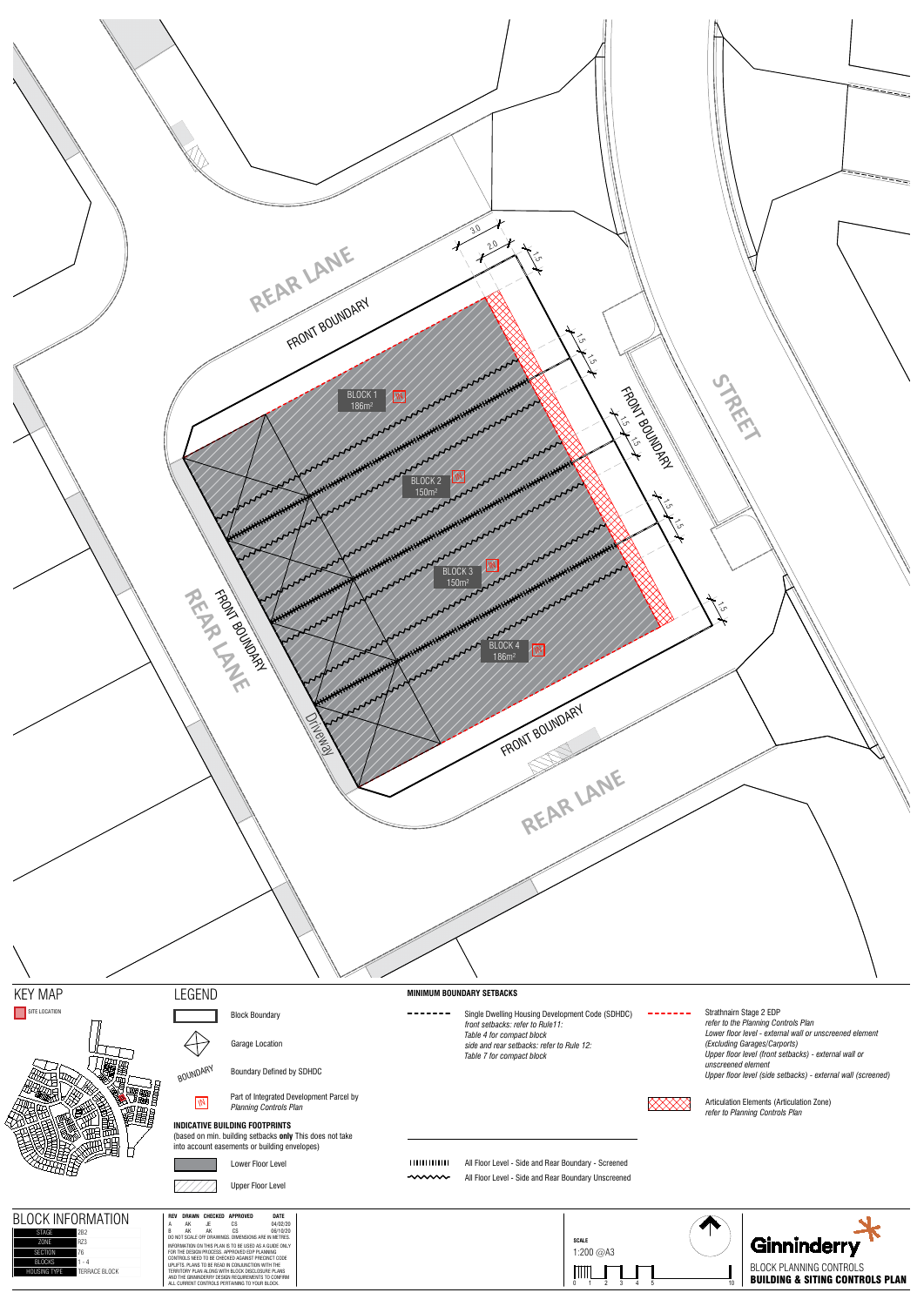



Block Boundary

Garage Location

BOUNDARY Boundary Defined by SDHDC

**INDICATIVE BUILDING FOOTPRINTS** (based on min. building setbacks **only** This does not take into account easements or building envelopes)





Lower Floor Level

**Part of Integrated Development Parcel by**<br>Planning Controls Plan *refer to Planning Controls Plan*



#### **MINIMUM BOUNDARY SETBACKS**

 $- - - - - - -$ Single Dwelling Housing Development Code (SDHDC) *front setbacks: refer to Rule11: Table 4 for compact block side and rear setbacks: refer to Rule 12: Table 7 for compact block*

All Floor Level - Side and Rear Boundary - Screened  $\sim$ All Floor Level - Side and Rear Boundary Unscreened







Strathnairn Stage 2 EDP *refer to the Planning Controls Plan Lower floor level - external wall or unscreened element (Excluding Garages/Carports) Upper floor level (front setbacks) - external wall or unscreened element Upper floor level (side setbacks) - external wall (screened)*



 $\frac{1}{2}$